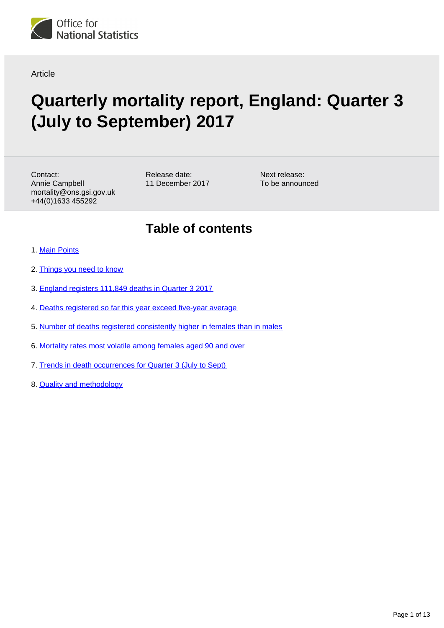

Article

# **Quarterly mortality report, England: Quarter 3 (July to September) 2017**

Contact: Annie Campbell mortality@ons.gsi.gov.uk +44(0)1633 455292

Release date: 11 December 2017 Next release: To be announced

## **Table of contents**

- 1. [Main Points](#page-1-0)
- 2. [Things you need to know](#page-1-1)
- 3. [England registers 111,849 deaths in Quarter 3 2017](#page-2-0)
- 4. [Deaths registered so far this year exceed five-year average](#page-3-0)
- 5. [Number of deaths registered consistently higher in females than in males](#page-4-0)
- 6. [Mortality rates most volatile among females aged 90 and over](#page-6-0)
- 7. [Trends in death occurrences for Quarter 3 \(July to Sept\)](#page-10-0)
- 8. Quality and methodology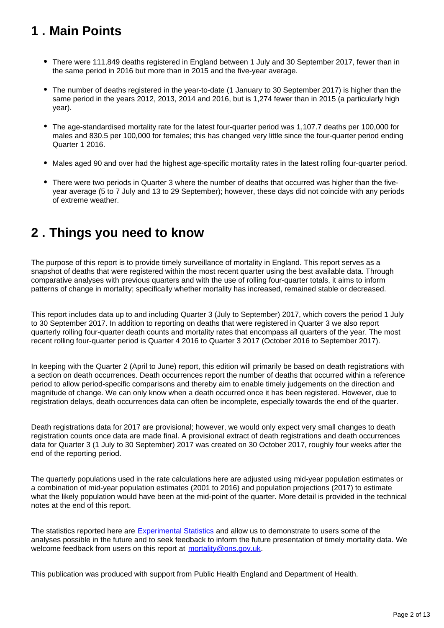## <span id="page-1-0"></span>**1 . Main Points**

- There were 111,849 deaths registered in England between 1 July and 30 September 2017, fewer than in the same period in 2016 but more than in 2015 and the five-year average.
- The number of deaths registered in the year-to-date (1 January to 30 September 2017) is higher than the same period in the years 2012, 2013, 2014 and 2016, but is 1,274 fewer than in 2015 (a particularly high year).
- The age-standardised mortality rate for the latest four-quarter period was 1,107.7 deaths per 100,000 for males and 830.5 per 100,000 for females; this has changed very little since the four-quarter period ending Quarter 1 2016.
- Males aged 90 and over had the highest age-specific mortality rates in the latest rolling four-quarter period.
- There were two periods in Quarter 3 where the number of deaths that occurred was higher than the fiveyear average (5 to 7 July and 13 to 29 September); however, these days did not coincide with any periods of extreme weather.

## <span id="page-1-1"></span>**2 . Things you need to know**

The purpose of this report is to provide timely surveillance of mortality in England. This report serves as a snapshot of deaths that were registered within the most recent quarter using the best available data. Through comparative analyses with previous quarters and with the use of rolling four-quarter totals, it aims to inform patterns of change in mortality; specifically whether mortality has increased, remained stable or decreased.

This report includes data up to and including Quarter 3 (July to September) 2017, which covers the period 1 July to 30 September 2017. In addition to reporting on deaths that were registered in Quarter 3 we also report quarterly rolling four-quarter death counts and mortality rates that encompass all quarters of the year. The most recent rolling four-quarter period is Quarter 4 2016 to Quarter 3 2017 (October 2016 to September 2017).

In keeping with the Quarter 2 (April to June) report, this edition will primarily be based on death registrations with a section on death occurrences. Death occurrences report the number of deaths that occurred within a reference period to allow period-specific comparisons and thereby aim to enable timely judgements on the direction and magnitude of change. We can only know when a death occurred once it has been registered. However, due to registration delays, death occurrences data can often be incomplete, especially towards the end of the quarter.

Death registrations data for 2017 are provisional; however, we would only expect very small changes to death registration counts once data are made final. A provisional extract of death registrations and death occurrences data for Quarter 3 (1 July to 30 September) 2017 was created on 30 October 2017, roughly four weeks after the end of the reporting period.

The quarterly populations used in the rate calculations here are adjusted using mid-year population estimates or a combination of mid-year population estimates (2001 to 2016) and population projections (2017) to estimate what the likely population would have been at the mid-point of the quarter. More detail is provided in the technical notes at the end of this report.

The statistics reported here are [Experimental Statistics](https://www.ons.gov.uk/methodology/methodologytopicsandstatisticalconcepts/guidetoexperimentalstatistics) and allow us to demonstrate to users some of the analyses possible in the future and to seek feedback to inform the future presentation of timely mortality data. We welcome feedback from users on this report at mortality@ons.gov.uk.

This publication was produced with support from Public Health England and Department of Health.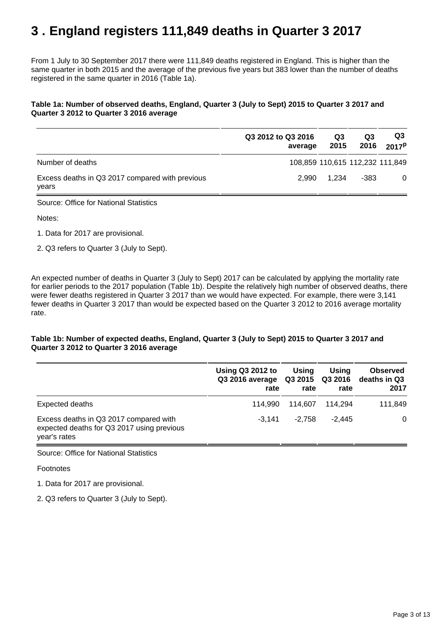## <span id="page-2-0"></span>**3 . England registers 111,849 deaths in Quarter 3 2017**

From 1 July to 30 September 2017 there were 111,849 deaths registered in England. This is higher than the same quarter in both 2015 and the average of the previous five years but 383 lower than the number of deaths registered in the same quarter in 2016 (Table 1a).

### **Table 1a: Number of observed deaths, England, Quarter 3 (July to Sept) 2015 to Quarter 3 2017 and Quarter 3 2012 to Quarter 3 2016 average**

|                                                          | Q3 2012 to Q3 2016<br>average | Q3<br>2015 | Q3<br>2016                      | Q3<br>2017 <sup>P</sup> |
|----------------------------------------------------------|-------------------------------|------------|---------------------------------|-------------------------|
| Number of deaths                                         |                               |            | 108,859 110,615 112,232 111,849 |                         |
| Excess deaths in Q3 2017 compared with previous<br>years | 2.990                         | 1.234      | -383                            | 0                       |

Source: Office for National Statistics

Notes:

- 1. Data for 2017 are provisional.
- 2. Q3 refers to Quarter 3 (July to Sept).

An expected number of deaths in Quarter 3 (July to Sept) 2017 can be calculated by applying the mortality rate for earlier periods to the 2017 population (Table 1b). Despite the relatively high number of observed deaths, there were fewer deaths registered in Quarter 3 2017 than we would have expected. For example, there were 3,141 fewer deaths in Quarter 3 2017 than would be expected based on the Quarter 3 2012 to 2016 average mortality rate.

### **Table 1b: Number of expected deaths, England, Quarter 3 (July to Sept) 2015 to Quarter 3 2017 and Quarter 3 2012 to Quarter 3 2016 average**

|                                                                                                      | <b>Using Q3 2012 to</b><br>Q3 2016 average<br>rate | Using<br>rate | Using<br>rate | <b>Observed</b><br>Q3 2015 Q3 2016 deaths in Q3<br>2017 |
|------------------------------------------------------------------------------------------------------|----------------------------------------------------|---------------|---------------|---------------------------------------------------------|
| Expected deaths                                                                                      | 114.990                                            | 114.607       | 114.294       | 111,849                                                 |
| Excess deaths in Q3 2017 compared with<br>expected deaths for Q3 2017 using previous<br>year's rates | $-3.141$                                           | $-2.758$      | $-2.445$      | $\Omega$                                                |

Source: Office for National Statistics

Footnotes

1. Data for 2017 are provisional.

2. Q3 refers to Quarter 3 (July to Sept).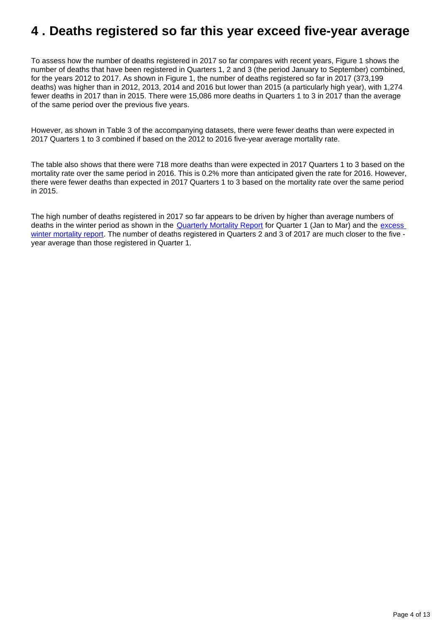## <span id="page-3-0"></span>**4 . Deaths registered so far this year exceed five-year average**

To assess how the number of deaths registered in 2017 so far compares with recent years, Figure 1 shows the number of deaths that have been registered in Quarters 1, 2 and 3 (the period January to September) combined, for the years 2012 to 2017. As shown in Figure 1, the number of deaths registered so far in 2017 (373,199 deaths) was higher than in 2012, 2013, 2014 and 2016 but lower than 2015 (a particularly high year), with 1,274 fewer deaths in 2017 than in 2015. There were 15,086 more deaths in Quarters 1 to 3 in 2017 than the average of the same period over the previous five years.

However, as shown in Table 3 of the accompanying datasets, there were fewer deaths than were expected in 2017 Quarters 1 to 3 combined if based on the 2012 to 2016 five-year average mortality rate.

The table also shows that there were 718 more deaths than were expected in 2017 Quarters 1 to 3 based on the mortality rate over the same period in 2016. This is 0.2% more than anticipated given the rate for 2016. However, there were fewer deaths than expected in 2017 Quarters 1 to 3 based on the mortality rate over the same period in 2015.

The high number of deaths registered in 2017 so far appears to be driven by higher than average numbers of deaths in the winter period as shown in the [Quarterly Mortality Report](https://www.ons.gov.uk/peoplepopulationandcommunity/birthsdeathsandmarriages/deaths/articles/quarterlymortalityreports/quarter1jantomar2017) for Quarter 1 (Jan to Mar) and the excess [winter mortality report.](https://www.ons.gov.uk/peoplepopulationandcommunity/birthsdeathsandmarriages/deaths/bulletins/excesswintermortalityinenglandandwales/2016to2017provisionaland2015to2016final) The number of deaths registered in Quarters 2 and 3 of 2017 are much closer to the five year average than those registered in Quarter 1.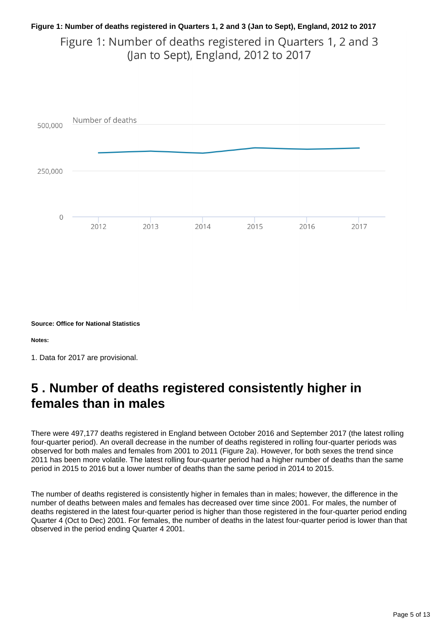## **Figure 1: Number of deaths registered in Quarters 1, 2 and 3 (Jan to Sept), England, 2012 to 2017** Figure 1: Number of deaths registered in Quarters 1, 2 and 3 (Jan to Sept), England, 2012 to 2017



**Source: Office for National Statistics**

**Notes:**

## <span id="page-4-0"></span>**5 . Number of deaths registered consistently higher in females than in males**

There were 497,177 deaths registered in England between October 2016 and September 2017 (the latest rolling four-quarter period). An overall decrease in the number of deaths registered in rolling four-quarter periods was observed for both males and females from 2001 to 2011 (Figure 2a). However, for both sexes the trend since 2011 has been more volatile. The latest rolling four-quarter period had a higher number of deaths than the same period in 2015 to 2016 but a lower number of deaths than the same period in 2014 to 2015.

The number of deaths registered is consistently higher in females than in males; however, the difference in the number of deaths between males and females has decreased over time since 2001. For males, the number of deaths registered in the latest four-quarter period is higher than those registered in the four-quarter period ending Quarter 4 (Oct to Dec) 2001. For females, the number of deaths in the latest four-quarter period is lower than that observed in the period ending Quarter 4 2001.

<sup>1.</sup> Data for 2017 are provisional.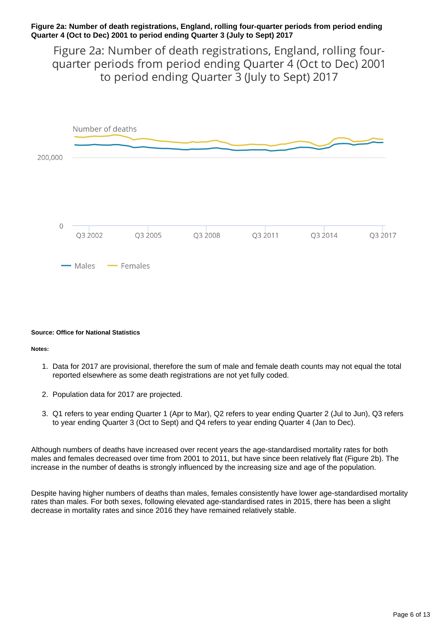### **Figure 2a: Number of death registrations, England, rolling four-quarter periods from period ending Quarter 4 (Oct to Dec) 2001 to period ending Quarter 3 (July to Sept) 2017**

Figure 2a: Number of death registrations, England, rolling fourquarter periods from period ending Quarter 4 (Oct to Dec) 2001 to period ending Quarter 3 (July to Sept) 2017



#### **Source: Office for National Statistics**

#### **Notes:**

- 1. Data for 2017 are provisional, therefore the sum of male and female death counts may not equal the total reported elsewhere as some death registrations are not yet fully coded.
- 2. Population data for 2017 are projected.
- 3. Q1 refers to year ending Quarter 1 (Apr to Mar), Q2 refers to year ending Quarter 2 (Jul to Jun), Q3 refers to year ending Quarter 3 (Oct to Sept) and Q4 refers to year ending Quarter 4 (Jan to Dec).

Although numbers of deaths have increased over recent years the age-standardised mortality rates for both males and females decreased over time from 2001 to 2011, but have since been relatively flat (Figure 2b). The increase in the number of deaths is strongly influenced by the increasing size and age of the population.

Despite having higher numbers of deaths than males, females consistently have lower age-standardised mortality rates than males. For both sexes, following elevated age-standardised rates in 2015, there has been a slight decrease in mortality rates and since 2016 they have remained relatively stable.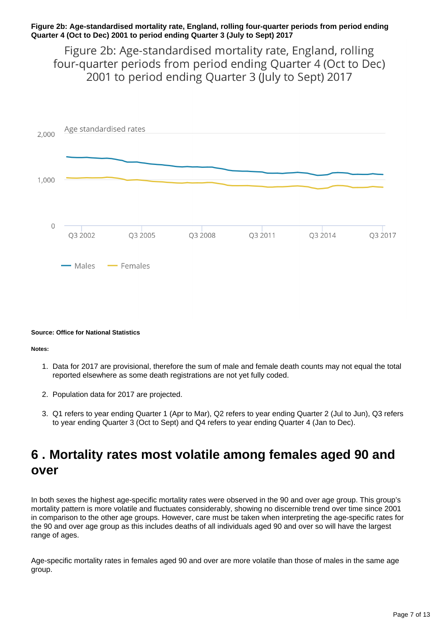### **Figure 2b: Age-standardised mortality rate, England, rolling four-quarter periods from period ending Quarter 4 (Oct to Dec) 2001 to period ending Quarter 3 (July to Sept) 2017**

Figure 2b: Age-standardised mortality rate, England, rolling four-quarter periods from period ending Quarter 4 (Oct to Dec) 2001 to period ending Quarter 3 (July to Sept) 2017



#### **Source: Office for National Statistics**

#### **Notes:**

- 1. Data for 2017 are provisional, therefore the sum of male and female death counts may not equal the total reported elsewhere as some death registrations are not yet fully coded.
- 2. Population data for 2017 are projected.
- 3. Q1 refers to year ending Quarter 1 (Apr to Mar), Q2 refers to year ending Quarter 2 (Jul to Jun), Q3 refers to year ending Quarter 3 (Oct to Sept) and Q4 refers to year ending Quarter 4 (Jan to Dec).

## <span id="page-6-0"></span>**6 . Mortality rates most volatile among females aged 90 and over**

In both sexes the highest age-specific mortality rates were observed in the 90 and over age group. This group's mortality pattern is more volatile and fluctuates considerably, showing no discernible trend over time since 2001 in comparison to the other age groups. However, care must be taken when interpreting the age-specific rates for the 90 and over age group as this includes deaths of all individuals aged 90 and over so will have the largest range of ages.

Age-specific mortality rates in females aged 90 and over are more volatile than those of males in the same age group.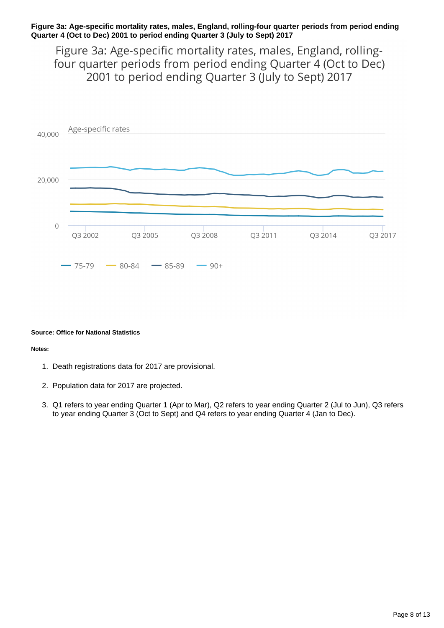### **Figure 3a: Age-specific mortality rates, males, England, rolling-four quarter periods from period ending Quarter 4 (Oct to Dec) 2001 to period ending Quarter 3 (July to Sept) 2017**

Figure 3a: Age-specific mortality rates, males, England, rollingfour quarter periods from period ending Quarter 4 (Oct to Dec) 2001 to period ending Quarter 3 (July to Sept) 2017



#### **Source: Office for National Statistics**

#### **Notes:**

- 1. Death registrations data for 2017 are provisional.
- 2. Population data for 2017 are projected.
- 3. Q1 refers to year ending Quarter 1 (Apr to Mar), Q2 refers to year ending Quarter 2 (Jul to Jun), Q3 refers to year ending Quarter 3 (Oct to Sept) and Q4 refers to year ending Quarter 4 (Jan to Dec).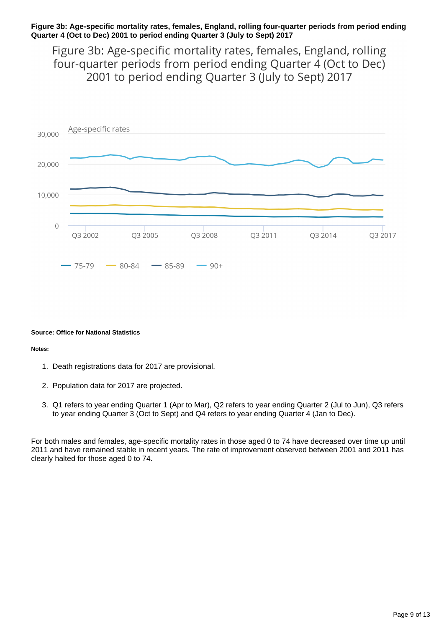### **Figure 3b: Age-specific mortality rates, females, England, rolling four-quarter periods from period ending Quarter 4 (Oct to Dec) 2001 to period ending Quarter 3 (July to Sept) 2017**

Figure 3b: Age-specific mortality rates, females, England, rolling four-quarter periods from period ending Quarter 4 (Oct to Dec) 2001 to period ending Quarter 3 (July to Sept) 2017



#### **Source: Office for National Statistics**

#### **Notes:**

- 1. Death registrations data for 2017 are provisional.
- 2. Population data for 2017 are projected.
- 3. Q1 refers to year ending Quarter 1 (Apr to Mar), Q2 refers to year ending Quarter 2 (Jul to Jun), Q3 refers to year ending Quarter 3 (Oct to Sept) and Q4 refers to year ending Quarter 4 (Jan to Dec).

For both males and females, age-specific mortality rates in those aged 0 to 74 have decreased over time up until 2011 and have remained stable in recent years. The rate of improvement observed between 2001 and 2011 has clearly halted for those aged 0 to 74.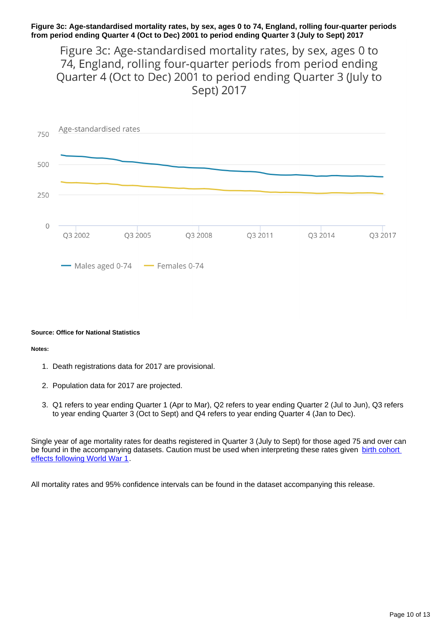### **Figure 3c: Age-standardised mortality rates, by sex, ages 0 to 74, England, rolling four-quarter periods from period ending Quarter 4 (Oct to Dec) 2001 to period ending Quarter 3 (July to Sept) 2017**

Figure 3c: Age-standardised mortality rates, by sex, ages 0 to 74, England, rolling four-quarter periods from period ending Quarter 4 (Oct to Dec) 2001 to period ending Quarter 3 (July to Sept) 2017



#### **Source: Office for National Statistics**

#### **Notes:**

- 1. Death registrations data for 2017 are provisional.
- 2. Population data for 2017 are projected.
- 3. Q1 refers to year ending Quarter 1 (Apr to Mar), Q2 refers to year ending Quarter 2 (Jul to Jun), Q3 refers to year ending Quarter 3 (Oct to Sept) and Q4 refers to year ending Quarter 4 (Jan to Dec).

Single year of age mortality rates for deaths registered in Quarter 3 (July to Sept) for those aged 75 and over can be found in the accompanying datasets. Caution must be used when interpreting these rates given birth cohort [effects following World War 1](https://www.ons.gov.uk/peoplepopulationandcommunity/birthsdeathsandmarriages/ageing/articles/theimpactofthefirstworldwaronthe90andoverpopulationoftheuk/2015).

All mortality rates and 95% confidence intervals can be found in the dataset accompanying this release.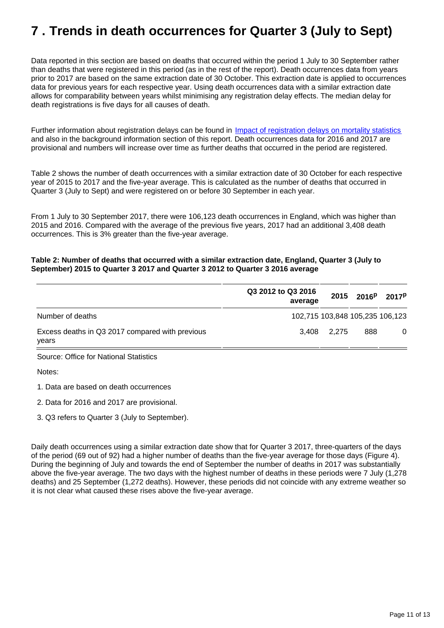## <span id="page-10-0"></span>**7 . Trends in death occurrences for Quarter 3 (July to Sept)**

Data reported in this section are based on deaths that occurred within the period 1 July to 30 September rather than deaths that were registered in this period (as in the rest of the report). Death occurrences data from years prior to 2017 are based on the same extraction date of 30 October. This extraction date is applied to occurrences data for previous years for each respective year. Using death occurrences data with a similar extraction date allows for comparability between years whilst minimising any registration delay effects. The median delay for death registrations is five days for all causes of death.

Further information about registration delays can be found in *[Impact of registration delays on mortality statistics](http://webarchive.nationalarchives.gov.uk/20160105160709/http:/www.ons.gov.uk/ons/guide-method/user-guidance/health-and-life-events/impact-of-registration-delays-on-mortality-statistics/index.html)* and also in the background information section of this report. Death occurrences data for 2016 and 2017 are provisional and numbers will increase over time as further deaths that occurred in the period are registered.

Table 2 shows the number of death occurrences with a similar extraction date of 30 October for each respective year of 2015 to 2017 and the five-year average. This is calculated as the number of deaths that occurred in Quarter 3 (July to Sept) and were registered on or before 30 September in each year.

From 1 July to 30 September 2017, there were 106,123 death occurrences in England, which was higher than 2015 and 2016. Compared with the average of the previous five years, 2017 had an additional 3,408 death occurrences. This is 3% greater than the five-year average.

### **Table 2: Number of deaths that occurred with a similar extraction date, England, Quarter 3 (July to September) 2015 to Quarter 3 2017 and Quarter 3 2012 to Quarter 3 2016 average**

|                                                          | Q3 2012 to Q3 2016<br>average | 2015  | 2016 <sup>p</sup> | 2017 <sup>p</sup>               |
|----------------------------------------------------------|-------------------------------|-------|-------------------|---------------------------------|
| Number of deaths                                         |                               |       |                   | 102,715 103,848 105,235 106,123 |
| Excess deaths in Q3 2017 compared with previous<br>years | 3,408                         | 2,275 | 888               | 0                               |
| Source: Office for National Statistics                   |                               |       |                   |                                 |
| Notes:                                                   |                               |       |                   |                                 |
| 1. Data are based on death occurrences                   |                               |       |                   |                                 |
| 2. Data for 2016 and 2017 are provisional.               |                               |       |                   |                                 |
| 3. Q3 refers to Quarter 3 (July to September).           |                               |       |                   |                                 |

Daily death occurrences using a similar extraction date show that for Quarter 3 2017, three-quarters of the days of the period (69 out of 92) had a higher number of deaths than the five-year average for those days (Figure 4). During the beginning of July and towards the end of September the number of deaths in 2017 was substantially above the five-year average. The two days with the highest number of deaths in these periods were 7 July (1,278 deaths) and 25 September (1,272 deaths). However, these periods did not coincide with any extreme weather so it is not clear what caused these rises above the five-year average.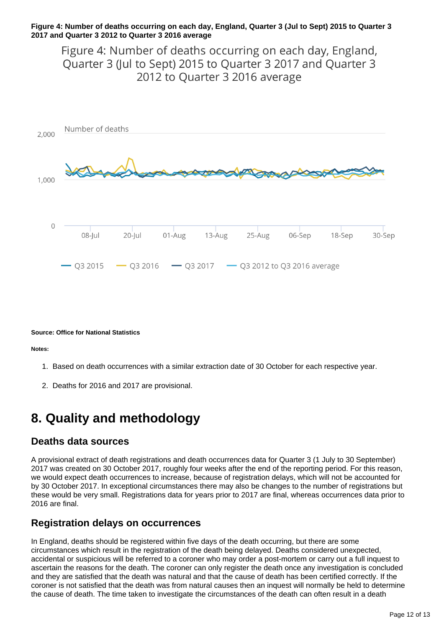### **Figure 4: Number of deaths occurring on each day, England, Quarter 3 (Jul to Sept) 2015 to Quarter 3 2017 and Quarter 3 2012 to Quarter 3 2016 average**

Figure 4: Number of deaths occurring on each day, England, Quarter 3 (Jul to Sept) 2015 to Quarter 3 2017 and Quarter 3 2012 to Quarter 3 2016 average



#### **Source: Office for National Statistics**

**Notes:**

- 1. Based on death occurrences with a similar extraction date of 30 October for each respective year.
- 2. Deaths for 2016 and 2017 are provisional.

## **8. Quality and methodology**

## **Deaths data sources**

A provisional extract of death registrations and death occurrences data for Quarter 3 (1 July to 30 September) 2017 was created on 30 October 2017, roughly four weeks after the end of the reporting period. For this reason, we would expect death occurrences to increase, because of registration delays, which will not be accounted for by 30 October 2017. In exceptional circumstances there may also be changes to the number of registrations but these would be very small. Registrations data for years prior to 2017 are final, whereas occurrences data prior to 2016 are final.

## **Registration delays on occurrences**

In England, deaths should be registered within five days of the death occurring, but there are some circumstances which result in the registration of the death being delayed. Deaths considered unexpected, accidental or suspicious will be referred to a coroner who may order a post-mortem or carry out a full inquest to ascertain the reasons for the death. The coroner can only register the death once any investigation is concluded and they are satisfied that the death was natural and that the cause of death has been certified correctly. If the coroner is not satisfied that the death was from natural causes then an inquest will normally be held to determine the cause of death. The time taken to investigate the circumstances of the death can often result in a death